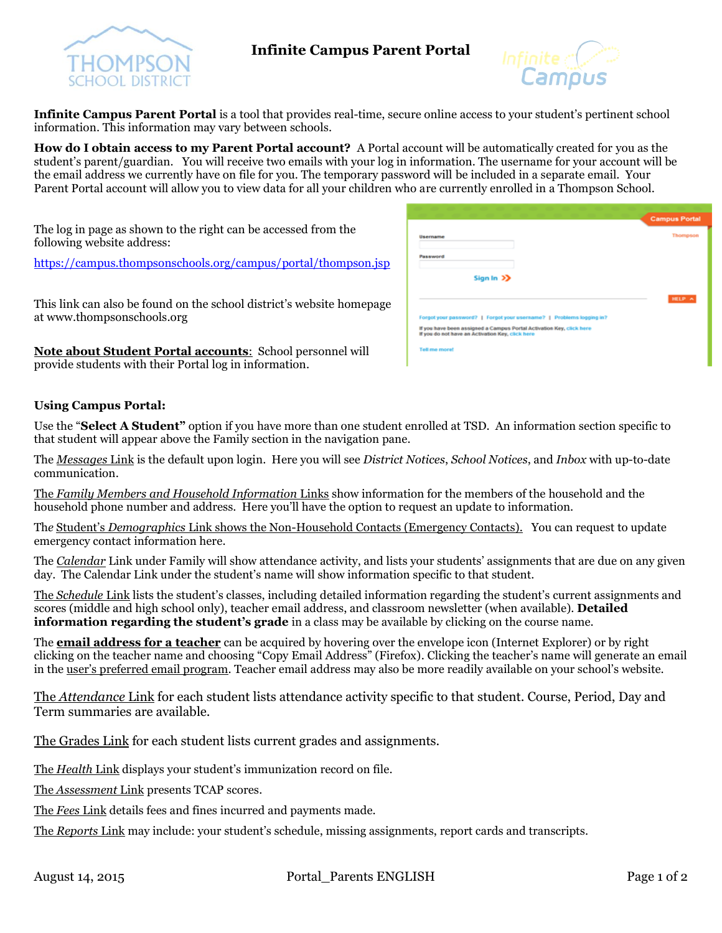

## **Infinite Campus Parent Portal**



**Infinite Campus Parent Portal** is a tool that provides real-time, secure online access to your student's pertinent school information. This information may vary between schools.

**How do I obtain access to my Parent Portal account?** A Portal account will be automatically created for you as the student's parent/guardian. You will receive two emails with your log in information. The username for your account will be the email address we currently have on file for you. The temporary password will be included in a separate email. Your Parent Portal account will allow you to view data for all your children who are currently enrolled in a Thompson School.

The log in page as shown to the right can be accessed from the following website address:

<https://campus.thompsonschools.org/campus/portal/thompson.jsp>

This link can also be found on the school district's website homepage at www.thompsonschools.org

**Note about Student Portal accounts**: School personnel will provide students with their Portal log in information.

|                                                                                                                                                                                                  | <b>Campus Portal</b> |
|--------------------------------------------------------------------------------------------------------------------------------------------------------------------------------------------------|----------------------|
| <b>Username</b>                                                                                                                                                                                  | Thompson             |
| Password                                                                                                                                                                                         |                      |
| Sign In >>                                                                                                                                                                                       |                      |
|                                                                                                                                                                                                  | HELP A               |
|                                                                                                                                                                                                  |                      |
|                                                                                                                                                                                                  |                      |
| Forgot your password?   Forgot your username?   Problems logging in?<br>If you have been assigned a Campus Portal Activation Key, click here<br>If you do not have an Activation Key, click here |                      |

## **Using Campus Portal:**

Use the "**Select A Student"** option if you have more than one student enrolled at TSD. An information section specific to that student will appear above the Family section in the navigation pane.

The *Messages* Link is the default upon login. Here you will see *District Notices*, *School Notices*, and *Inbox* with up-to-date communication.

The *Family Members and Household Information* Links show information for the members of the household and the household phone number and address. Here you'll have the option to request an update to information.

Th*e* Student's *Demographics* Link shows the Non-Household Contacts (Emergency Contacts). You can request to update emergency contact information here.

The *Calendar* Link under Family will show attendance activity, and lists your students' assignments that are due on any given day. The Calendar Link under the student's name will show information specific to that student.

The *Schedule* Link lists the student's classes, including detailed information regarding the student's current assignments and scores (middle and high school only), teacher email address, and classroom newsletter (when available). **Detailed information regarding the student's grade** in a class may be available by clicking on the course name.

The **email address for a teacher** can be acquired by hovering over the envelope icon (Internet Explorer) or by right clicking on the teacher name and choosing "Copy Email Address" (Firefox). Clicking the teacher's name will generate an email in the user's preferred email program. Teacher email address may also be more readily available on your school's website.

The *Attendance* Link for each student lists attendance activity specific to that student. Course, Period, Day and Term summaries are available.

The Grades Link for each student lists current grades and assignments.

The *Health* Link displays your student's immunization record on file.

The *Assessment* Link presents TCAP scores.

The *Fees* Link details fees and fines incurred and payments made.

The *Reports* Link may include: your student's schedule, missing assignments, report cards and transcripts.